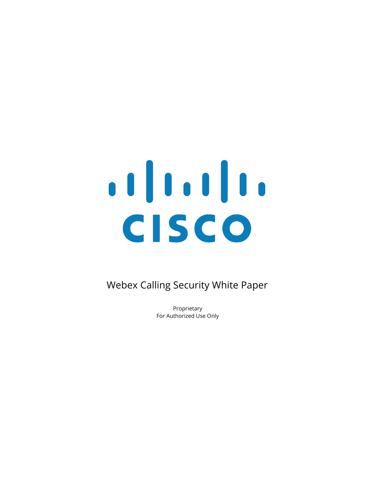# CISCO

Webex Calling Security White Paper

Proprietary For Authorized Use Only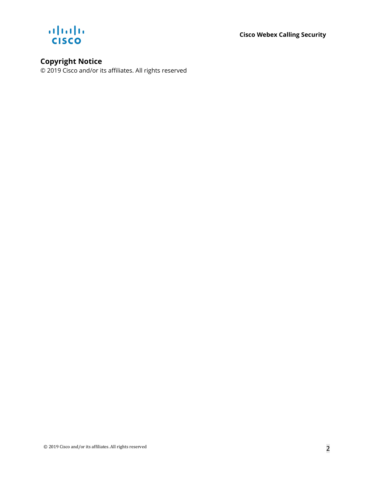**Cisco Webex Calling Security**



# **Copyright Notice**

© 2019 Cisco and/or its affiliates. All rights reserved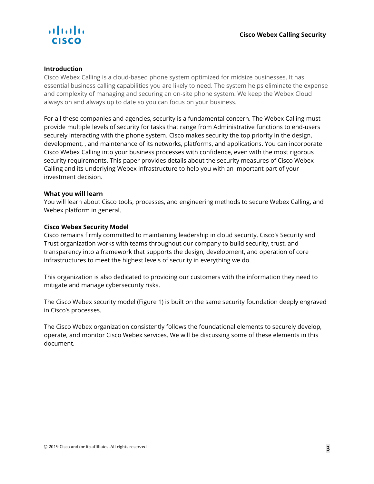

### **Introduction**

Cisco Webex Calling is a cloud-based phone system optimized for midsize businesses. It has essential business calling capabilities you are likely to need. The system helps eliminate the expense and complexity of managing and securing an on-site phone system. We keep the Webex Cloud always on and always up to date so you can focus on your business.

For all these companies and agencies, security is a fundamental concern. The Webex Calling must provide multiple levels of security for tasks that range from Administrative functions to end-users securely interacting with the phone system. Cisco makes security the top priority in the design, development, , and maintenance of its networks, platforms, and applications. You can incorporate Cisco Webex Calling into your business processes with confidence, even with the most rigorous security requirements. This paper provides details about the security measures of Cisco Webex Calling and its underlying Webex infrastructure to help you with an important part of your investment decision.

### **What you will learn**

You will learn about Cisco tools, processes, and engineering methods to secure Webex Calling, and Webex platform in general.

### **Cisco Webex Security Model**

Cisco remains firmly committed to maintaining leadership in cloud security. Cisco's Security and Trust organization works with teams throughout our company to build security, trust, and transparency into a framework that supports the design, development, and operation of core infrastructures to meet the highest levels of security in everything we do.

This organization is also dedicated to providing our customers with the information they need to mitigate and manage cybersecurity risks.

The Cisco Webex security model (Figure 1) is built on the same security foundation deeply engraved in Cisco's processes.

The Cisco Webex organization consistently follows the foundational elements to securely develop, operate, and monitor Cisco Webex services. We will be discussing some of these elements in this document.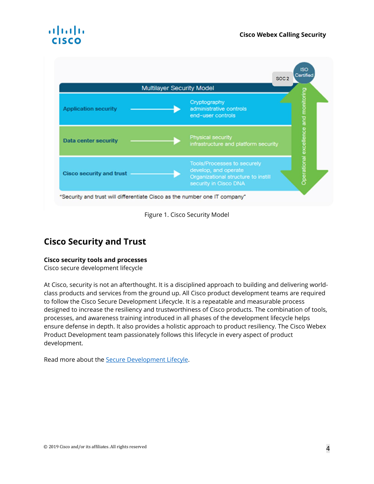## alnılı CISCO



Figure 1. Cisco Security Model

# **Cisco Security and Trust**

### **Cisco security tools and processes**

Cisco secure development lifecycle

At Cisco, security is not an afterthought. It is a disciplined approach to building and delivering worldclass products and services from the ground up. All Cisco product development teams are required to follow the Cisco Secure Development Lifecycle. It is a repeatable and measurable process designed to increase the resiliency and trustworthiness of Cisco products. The combination of tools, processes, and awareness training introduced in all phases of the development lifecycle helps ensure defense in depth. It also provides a holistic approach to product resiliency. The Cisco Webex Product Development team passionately follows this lifecycle in every aspect of product development.

Read more about the [Secure Development Lifecyle.](https://www.cisco.com/c/en/us/about/security-center/security-programs/secure-development-lifecycle.html)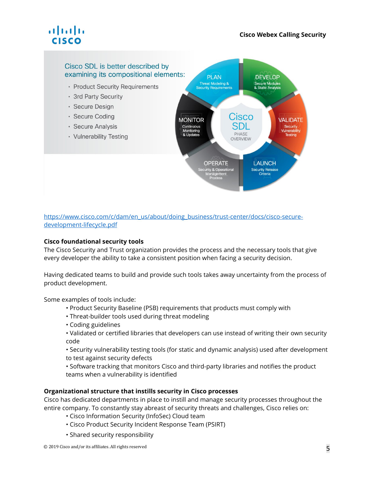# . 1 | 1 . 1 | 1 . **CISCO**

### Cisco SDL is better described by examining its compositional elements:

- · Product Security Requirements
- · 3rd Party Security
- · Secure Design
- · Secure Coding
- · Secure Analysis
- · Vulnerability Testing



### [https://www.cisco.com/c/dam/en\\_us/about/doing\\_business/trust-center/docs/cisco-secure](https://www.cisco.com/c/dam/en_us/about/doing_business/trust-center/docs/cisco-secure-development-lifecycle.pdf)[development-lifecycle.pdf](https://www.cisco.com/c/dam/en_us/about/doing_business/trust-center/docs/cisco-secure-development-lifecycle.pdf)

### **Cisco foundational security tools**

The Cisco Security and Trust organization provides the process and the necessary tools that give every developer the ability to take a consistent position when facing a security decision.

Having dedicated teams to build and provide such tools takes away uncertainty from the process of product development.

Some examples of tools include:

- Product Security Baseline (PSB) requirements that products must comply with
- Threat-builder tools used during threat modeling
- Coding guidelines
- Validated or certified libraries that developers can use instead of writing their own security code
- Security vulnerability testing tools (for static and dynamic analysis) used after development to test against security defects
- Software tracking that monitors Cisco and third-party libraries and notifies the product teams when a vulnerability is identified

### **Organizational structure that instills security in Cisco processes**

Cisco has dedicated departments in place to instill and manage security processes throughout the entire company. To constantly stay abreast of security threats and challenges, Cisco relies on:

- Cisco Information Security (InfoSec) Cloud team
- Cisco Product Security Incident Response Team (PSIRT)
- Shared security responsibility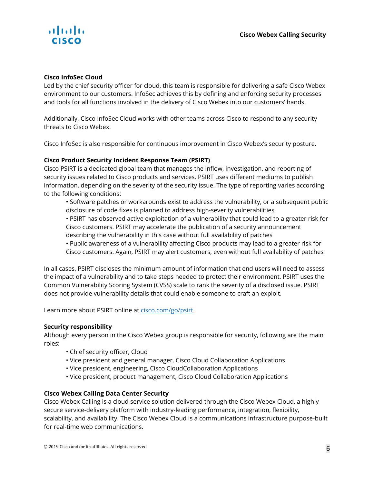

### **Cisco InfoSec Cloud**

Led by the chief security officer for cloud, this team is responsible for delivering a safe Cisco Webex environment to our customers. InfoSec achieves this by defining and enforcing security processes and tools for all functions involved in the delivery of Cisco Webex into our customers' hands.

Additionally, Cisco InfoSec Cloud works with other teams across Cisco to respond to any security threats to Cisco Webex.

Cisco InfoSec is also responsible for continuous improvement in Cisco Webex's security posture.

### **Cisco Product Security Incident Response Team (PSIRT)**

Cisco PSIRT is a dedicated global team that manages the inflow, investigation, and reporting of security issues related to Cisco products and services. PSIRT uses different mediums to publish information, depending on the severity of the security issue. The type of reporting varies according to the following conditions:

• Software patches or workarounds exist to address the vulnerability, or a subsequent public disclosure of code fixes is planned to address high-severity vulnerabilities

• PSIRT has observed active exploitation of a vulnerability that could lead to a greater risk for Cisco customers. PSIRT may accelerate the publication of a security announcement describing the vulnerability in this case without full availability of patches

• Public awareness of a vulnerability affecting Cisco products may lead to a greater risk for Cisco customers. Again, PSIRT may alert customers, even without full availability of patches

In all cases, PSIRT discloses the minimum amount of information that end users will need to assess the impact of a vulnerability and to take steps needed to protect their environment. PSIRT uses the Common Vulnerability Scoring System (CVSS) scale to rank the severity of a disclosed issue. PSIRT does not provide vulnerability details that could enable someone to craft an exploit.

Learn more about PSIRT online a[t cisco.com/go/psirt.](https://cisco.com/go/psirt)

### **Security responsibility**

Although every person in the Cisco Webex group is responsible for security, following are the main roles:

- Chief security officer, Cloud
- Vice president and general manager, Cisco Cloud Collaboration Applications
- Vice president, engineering, Cisco CloudCollaboration Applications
- Vice president, product management, Cisco Cloud Collaboration Applications

### **Cisco Webex Calling Data Center Security**

Cisco Webex Calling is a cloud service solution delivered through the Cisco Webex Cloud, a highly secure service-delivery platform with industry-leading performance, integration, flexibility, scalability, and availability. The Cisco Webex Cloud is a communications infrastructure purpose-built for real-time web communications.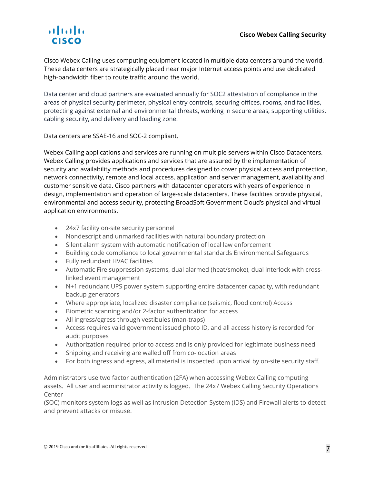# alnılı. **CISCO**

Cisco Webex Calling uses computing equipment located in multiple data centers around the world. These data centers are strategically placed near major Internet access points and use dedicated high-bandwidth fiber to route traffic around the world.

Data center and cloud partners are evaluated annually for SOC2 attestation of compliance in the areas of physical security perimeter, physical entry controls, securing offices, rooms, and facilities, protecting against external and environmental threats, working in secure areas, supporting utilities, cabling security, and delivery and loading zone.

Data centers are SSAE-16 and SOC-2 compliant.

Webex Calling applications and services are running on multiple servers within Cisco Datacenters. Webex Calling provides applications and services that are assured by the implementation of security and availability methods and procedures designed to cover physical access and protection, network connectivity, remote and local access, application and server management, availability and customer sensitive data. Cisco partners with datacenter operators with years of experience in design, implementation and operation of large-scale datacenters. These facilities provide physical, environmental and access security, protecting BroadSoft Government Cloud's physical and virtual application environments.

- 24x7 facility on-site security personnel
- Nondescript and unmarked facilities with natural boundary protection
- Silent alarm system with automatic notification of local law enforcement
- Building code compliance to local governmental standards Environmental Safeguards
- Fully redundant HVAC facilities
- Automatic Fire suppression systems, dual alarmed (heat/smoke), dual interlock with crosslinked event management
- N+1 redundant UPS power system supporting entire datacenter capacity, with redundant backup generators
- Where appropriate, localized disaster compliance (seismic, flood control) Access
- Biometric scanning and/or 2-factor authentication for access
- All ingress/egress through vestibules (man-traps)
- Access requires valid government issued photo ID, and all access history is recorded for audit purposes
- Authorization required prior to access and is only provided for legitimate business need
- Shipping and receiving are walled off from co-location areas
- For both ingress and egress, all material is inspected upon arrival by on-site security staff.

Administrators use two factor authentication (2FA) when accessing Webex Calling computing assets. All user and administrator activity is logged. The 24x7 Webex Calling Security Operations Center

(SOC) monitors system logs as well as Intrusion Detection System (IDS) and Firewall alerts to detect and prevent attacks or misuse.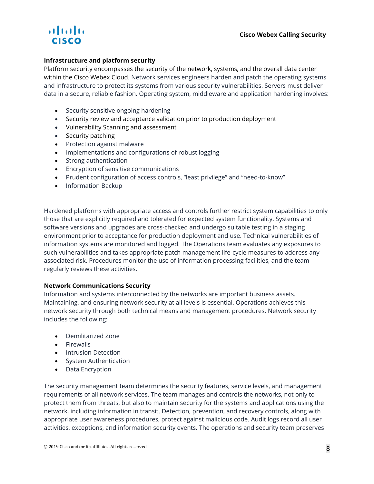# almlı **CISCO**

### **Infrastructure and platform security**

Platform security encompasses the security of the network, systems, and the overall data center within the Cisco Webex Cloud. Network services engineers harden and patch the operating systems and infrastructure to protect its systems from various security vulnerabilities. Servers must deliver data in a secure, reliable fashion. Operating system, middleware and application hardening involves:

- Security sensitive ongoing hardening
- Security review and acceptance validation prior to production deployment
- Vulnerability Scanning and assessment
- Security patching
- Protection against malware
- Implementations and configurations of robust logging
- Strong authentication
- Encryption of sensitive communications
- Prudent configuration of access controls, "least privilege" and "need-to-know"
- Information Backup

Hardened platforms with appropriate access and controls further restrict system capabilities to only those that are explicitly required and tolerated for expected system functionality. Systems and software versions and upgrades are cross-checked and undergo suitable testing in a staging environment prior to acceptance for production deployment and use. Technical vulnerabilities of information systems are monitored and logged. The Operations team evaluates any exposures to such vulnerabilities and takes appropriate patch management life-cycle measures to address any associated risk. Procedures monitor the use of information processing facilities, and the team regularly reviews these activities.

### **Network Communications Security**

Information and systems interconnected by the networks are important business assets. Maintaining, and ensuring network security at all levels is essential. Operations achieves this network security through both technical means and management procedures. Network security includes the following:

- Demilitarized Zone
- Firewalls
- Intrusion Detection
- System Authentication
- Data Encryption

The security management team determines the security features, service levels, and management requirements of all network services. The team manages and controls the networks, not only to protect them from threats, but also to maintain security for the systems and applications using the network, including information in transit. Detection, prevention, and recovery controls, along with appropriate user awareness procedures, protect against malicious code. Audit logs record all user activities, exceptions, and information security events. The operations and security team preserves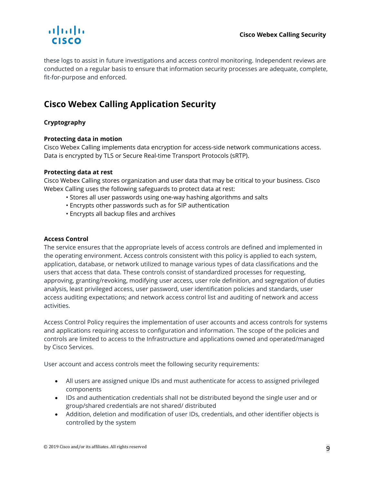

these logs to assist in future investigations and access control monitoring. Independent reviews are conducted on a regular basis to ensure that information security processes are adequate, complete, fit-for-purpose and enforced.

# **Cisco Webex Calling Application Security**

### **Cryptography**

### **Protecting data in motion**

Cisco Webex Calling implements data encryption for access-side network communications access. Data is encrypted by TLS or Secure Real-time Transport Protocols (sRTP).

### **Protecting data at rest**

Cisco Webex Calling stores organization and user data that may be critical to your business. Cisco Webex Calling uses the following safeguards to protect data at rest:

- Stores all user passwords using one-way hashing algorithms and salts
- Encrypts other passwords such as for SIP authentication
- Encrypts all backup files and archives

### **Access Control**

The service ensures that the appropriate levels of access controls are defined and implemented in the operating environment. Access controls consistent with this policy is applied to each system, application, database, or network utilized to manage various types of data classifications and the users that access that data. These controls consist of standardized processes for requesting, approving, granting/revoking, modifying user access, user role definition, and segregation of duties analysis, least privileged access, user password, user identification policies and standards, user access auditing expectations; and network access control list and auditing of network and access activities.

Access Control Policy requires the implementation of user accounts and access controls for systems and applications requiring access to configuration and information. The scope of the policies and controls are limited to access to the Infrastructure and applications owned and operated/managed by Cisco Services.

User account and access controls meet the following security requirements:

- All users are assigned unique IDs and must authenticate for access to assigned privileged components
- IDs and authentication credentials shall not be distributed beyond the single user and or group/shared credentials are not shared/ distributed
- Addition, deletion and modification of user IDs, credentials, and other identifier objects is controlled by the system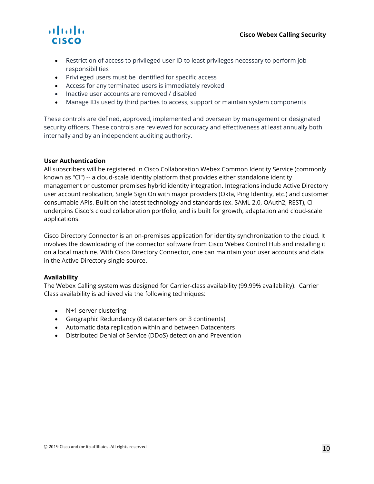# alnılı. **CISCO**

- Restriction of access to privileged user ID to least privileges necessary to perform job responsibilities
- Privileged users must be identified for specific access
- Access for any terminated users is immediately revoked
- Inactive user accounts are removed / disabled
- Manage IDs used by third parties to access, support or maintain system components

These controls are defined, approved, implemented and overseen by management or designated security officers. These controls are reviewed for accuracy and effectiveness at least annually both internally and by an independent auditing authority.

### **User Authentication**

All subscribers will be registered in Cisco Collaboration Webex Common Identity Service (commonly known as "CI") -- a cloud-scale identity platform that provides either standalone identity management or customer premises hybrid identity integration. Integrations include Active Directory user account replication, Single Sign On with major providers (Okta, Ping Identity, etc.) and customer consumable APIs. Built on the latest technology and standards (ex. SAML 2.0, OAuth2, REST), CI underpins Cisco's cloud collaboration portfolio, and is built for growth, adaptation and cloud-scale applications.

Cisco Directory Connector is an on-premises application for identity synchronization to the cloud. It involves the downloading of the connector software from Cisco Webex Control Hub and installing it on a local machine. With Cisco Directory Connector, one can maintain your user accounts and data in the Active Directory single source.

### **Availability**

The Webex Calling system was designed for Carrier-class availability (99.99% availability). Carrier Class availability is achieved via the following techniques:

- N+1 server clustering
- Geographic Redundancy (8 datacenters on 3 continents)
- Automatic data replication within and between Datacenters
- Distributed Denial of Service (DDoS) detection and Prevention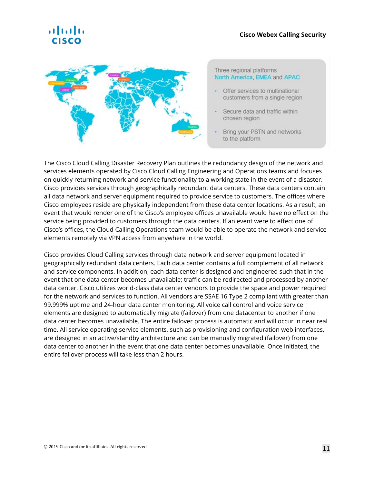# almla



#### Three regional platforms North America, EMEA and APAC

- Offer services to multinational customers from a single region
- Secure data and traffic within chosen region
- Bring your PSTN and networks to the platform

The Cisco Cloud Calling Disaster Recovery Plan outlines the redundancy design of the network and services elements operated by Cisco Cloud Calling Engineering and Operations teams and focuses on quickly returning network and service functionality to a working state in the event of a disaster. Cisco provides services through geographically redundant data centers. These data centers contain all data network and server equipment required to provide service to customers. The offices where Cisco employees reside are physically independent from these data center locations. As a result, an event that would render one of the Cisco's employee offices unavailable would have no effect on the service being provided to customers through the data centers. If an event were to effect one of Cisco's offices, the Cloud Calling Operations team would be able to operate the network and service elements remotely via VPN access from anywhere in the world.

Cisco provides Cloud Calling services through data network and server equipment located in geographically redundant data centers. Each data center contains a full complement of all network and service components. In addition, each data center is designed and engineered such that in the event that one data center becomes unavailable; traffic can be redirected and processed by another data center. Cisco utilizes world-class data center vendors to provide the space and power required for the network and services to function. All vendors are SSAE 16 Type 2 compliant with greater than 99.999% uptime and 24-hour data center monitoring. All voice call control and voice service elements are designed to automatically migrate (failover) from one datacenter to another if one data center becomes unavailable. The entire failover process is automatic and will occur in near real time. All service operating service elements, such as provisioning and configuration web interfaces, are designed in an active/standby architecture and can be manually migrated (failover) from one data center to another in the event that one data center becomes unavailable. Once initiated, the entire failover process will take less than 2 hours.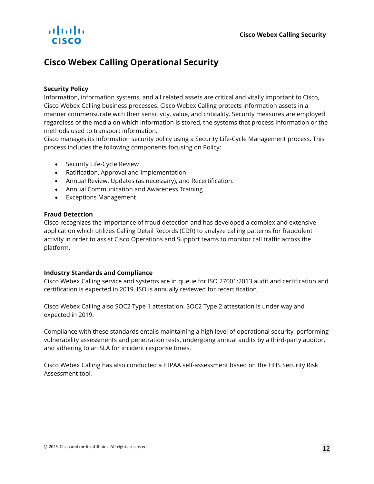# almlı **CISCO**

### **Cisco Webex Calling Operational Security**

### **Security Policy**

Information, information systems, and all related assets are critical and vitally important to Cisco, Cisco Webex Calling business processes. Cisco Webex Calling protects information assets in a manner commensurate with their sensitivity, value, and criticality. Security measures are employed regardless of the media on which information is stored, the systems that process information or the methods used to transport information.

Cisco manages its information security policy using a Security Life-Cycle Management process. This process includes the following components focusing on Policy:

- Security Life-Cycle Review
- Ratification, Approval and Implementation
- Annual Review, Updates (as necessary), and Recertification.
- Annual Communication and Awareness Training
- Exceptions Management

### **Fraud Detection**

Cisco recognizes the importance of fraud detection and has developed a complex and extensive application which utilizes Calling Detail Records (CDR) to analyze calling patterns for fraudulent activity in order to assist Cisco Operations and Support teams to monitor call traffic across the platform.

### **Industry Standards and Compliance**

Cisco Webex Calling service and systems are in queue for ISO 27001:2013 audit and certification and certification is expected in 2019. ISO is annually reviewed for recertification.

Cisco Webex Calling also SOC2 Type 1 attestation. SOC2 Type 2 attestation is under way and expected in 2019.

Compliance with these standards entails maintaining a high level of operational security, performing vulnerability assessments and penetration tests, undergoing annual audits by a third-party auditor, and adhering to an SLA for incident response times.

Cisco Webex Calling has also conducted a HIPAA self-assessment based on the HHS Security Risk Assessment tool,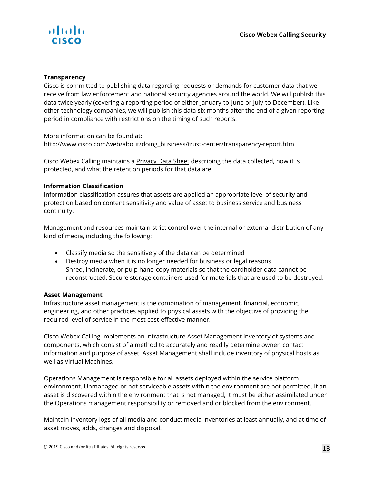

### **Transparency**

Cisco is committed to publishing data regarding requests or demands for customer data that we receive from law enforcement and national security agencies around the world. We will publish this data twice yearly (covering a reporting period of either January-to-June or July-to-December). Like other technology companies, we will publish this data six months after the end of a given reporting period in compliance with restrictions on the timing of such reports.

### More information can be found at: http://www.cisco.com/web/about/doing\_business/trust-center/transparency-report.html

Cisco Webex Calling maintains a [Privacy Data Sheet](https://trustportal.cisco.com/c/dam/r/ctp/docs/privacydatasheet/collaboration/cisco-webex-calling-privacy-data-sheet.pdf) describing the data collected, how it is protected, and what the retention periods for that data are.

### **Information Classification**

Information classification assures that assets are applied an appropriate level of security and protection based on content sensitivity and value of asset to business service and business continuity.

Management and resources maintain strict control over the internal or external distribution of any kind of media, including the following:

- Classify media so the sensitively of the data can be determined
- Destroy media when it is no longer needed for business or legal reasons Shred, incinerate, or pulp hand-copy materials so that the cardholder data cannot be reconstructed. Secure storage containers used for materials that are used to be destroyed.

### **Asset Management**

Infrastructure asset management is the combination of management, financial, economic, engineering, and other practices applied to physical assets with the objective of providing the required level of service in the most cost-effective manner.

Cisco Webex Calling implements an Infrastructure Asset Management inventory of systems and components, which consist of a method to accurately and readily determine owner, contact information and purpose of asset. Asset Management shall include inventory of physical hosts as well as Virtual Machines.

Operations Management is responsible for all assets deployed within the service platform environment. Unmanaged or not serviceable assets within the environment are not permitted. If an asset is discovered within the environment that is not managed, it must be either assimilated under the Operations management responsibility or removed and or blocked from the environment.

Maintain inventory logs of all media and conduct media inventories at least annually, and at time of asset moves, adds, changes and disposal.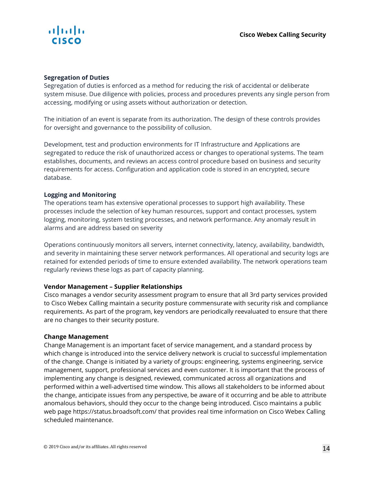

### **Segregation of Duties**

Segregation of duties is enforced as a method for reducing the risk of accidental or deliberate system misuse. Due diligence with policies, process and procedures prevents any single person from accessing, modifying or using assets without authorization or detection.

The initiation of an event is separate from its authorization. The design of these controls provides for oversight and governance to the possibility of collusion.

Development, test and production environments for IT Infrastructure and Applications are segregated to reduce the risk of unauthorized access or changes to operational systems. The team establishes, documents, and reviews an access control procedure based on business and security requirements for access. Configuration and application code is stored in an encrypted, secure database.

### **Logging and Monitoring**

The operations team has extensive operational processes to support high availability. These processes include the selection of key human resources, support and contact processes, system logging, monitoring, system testing processes, and network performance. Any anomaly result in alarms and are address based on severity

Operations continuously monitors all servers, internet connectivity, latency, availability, bandwidth, and severity in maintaining these server network performances. All operational and security logs are retained for extended periods of time to ensure extended availability. The network operations team regularly reviews these logs as part of capacity planning. 6

### **Vendor Management – Supplier Relationships**

Cisco manages a vendor security assessment program to ensure that all 3rd party services provided to Cisco Webex Calling maintain a security posture commensurate with security risk and compliance requirements. As part of the program, key vendors are periodically reevaluated to ensure that there are no changes to their security posture.

### **Change Management**

Change Management is an important facet of service management, and a standard process by which change is introduced into the service delivery network is crucial to successful implementation of the change. Change is initiated by a variety of groups: engineering, systems engineering, service management, support, professional services and even customer. It is important that the process of implementing any change is designed, reviewed, communicated across all organizations and performed within a well-advertised time window. This allows all stakeholders to be informed about the change, anticipate issues from any perspective, be aware of it occurring and be able to attribute anomalous behaviors, should they occur to the change being introduced. Cisco maintains a public web page https://status.broadsoft.com/ that provides real time information on Cisco Webex Calling scheduled maintenance.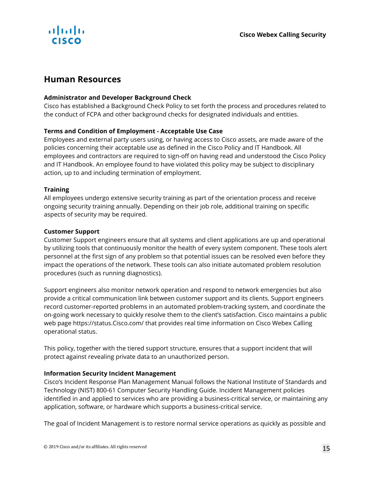

### **Human Resources**

### **Administrator and Developer Background Check**

Cisco has established a Background Check Policy to set forth the process and procedures related to the conduct of FCPA and other background checks for designated individuals and entities.

### **Terms and Condition of Employment - Acceptable Use Case**

Employees and external party users using, or having access to Cisco assets, are made aware of the policies concerning their acceptable use as defined in the Cisco Policy and IT Handbook. All employees and contractors are required to sign-off on having read and understood the Cisco Policy and IT Handbook. An employee found to have violated this policy may be subject to disciplinary action, up to and including termination of employment.

### **Training**

All employees undergo extensive security training as part of the orientation process and receive ongoing security training annually. Depending on their job role, additional training on specific aspects of security may be required.

### **Customer Support**

Customer Support engineers ensure that all systems and client applications are up and operational by utilizing tools that continuously monitor the health of every system component. These tools alert personnel at the first sign of any problem so that potential issues can be resolved even before they impact the operations of the network. These tools can also initiate automated problem resolution procedures (such as running diagnostics).

Support engineers also monitor network operation and respond to network emergencies but also provide a critical communication link between customer support and its clients. Support engineers record customer-reported problems in an automated problem-tracking system, and coordinate the on-going work necessary to quickly resolve them to the client's satisfaction. Cisco maintains a public web page https://status.Cisco.com/ that provides real time information on Cisco Webex Calling operational status.

This policy, together with the tiered support structure, ensures that a support incident that will protect against revealing private data to an unauthorized person.

### **Information Security Incident Management**

Cisco's Incident Response Plan Management Manual follows the National Institute of Standards and Technology (NIST) 800-61 Computer Security Handling Guide. Incident Management policies identified in and applied to services who are providing a business-critical service, or maintaining any application, software, or hardware which supports a business-critical service.

The goal of Incident Management is to restore normal service operations as quickly as possible and